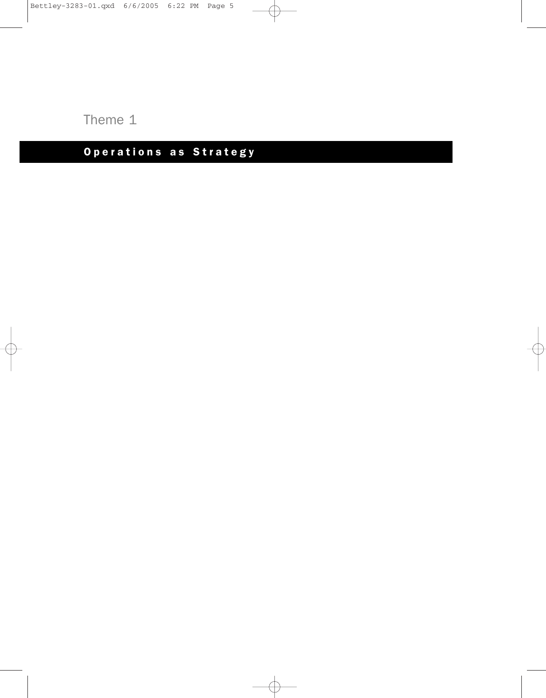## Theme 1

Operations as Strategy

€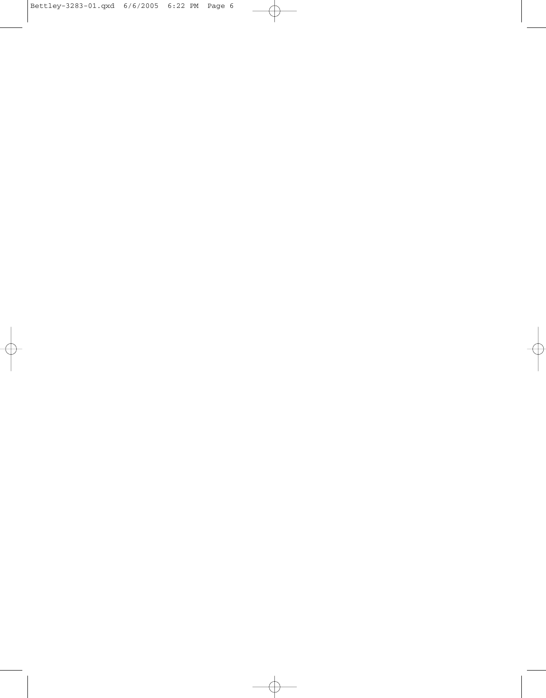Bettley-3283-01.qxd 6/6/2005 6:22 PM Page 6

 $\overline{\mathcal{A}}$ 

 $\bigoplus$ 

 $\overline{\varphi}$ 

 $\bigoplus$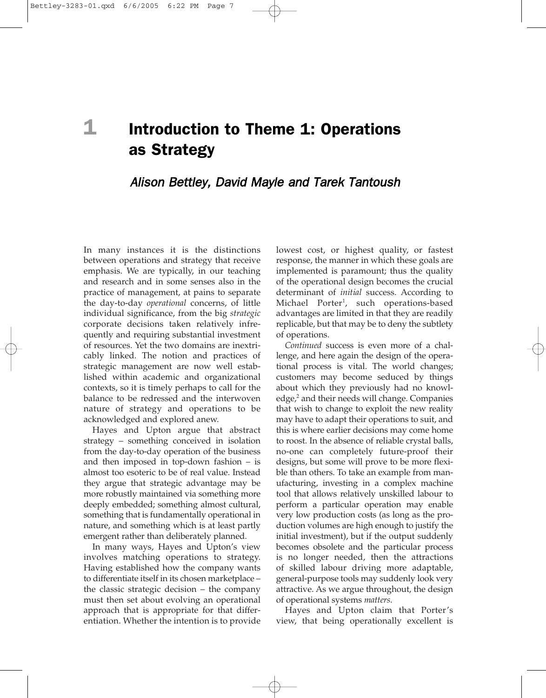# $1$  Introduction to Theme 1: Operations as Strategy

## Alison Bettley, David Mayle and Tarek Tantoush

In many instances it is the distinctions between operations and strategy that receive emphasis. We are typically, in our teaching and research and in some senses also in the practice of management, at pains to separate the day-to-day *operational* concerns, of little individual significance, from the big *strategic* corporate decisions taken relatively infrequently and requiring substantial investment of resources. Yet the two domains are inextricably linked. The notion and practices of strategic management are now well established within academic and organizational contexts, so it is timely perhaps to call for the balance to be redressed and the interwoven nature of strategy and operations to be acknowledged and explored anew.

Hayes and Upton argue that abstract strategy – something conceived in isolation from the day-to-day operation of the business and then imposed in top-down fashion – is almost too esoteric to be of real value. Instead they argue that strategic advantage may be more robustly maintained via something more deeply embedded; something almost cultural, something that is fundamentally operational in nature, and something which is at least partly emergent rather than deliberately planned.

In many ways, Hayes and Upton's view involves matching operations to strategy. Having established how the company wants to differentiate itself in its chosen marketplace – the classic strategic decision – the company must then set about evolving an operational approach that is appropriate for that differentiation. Whether the intention is to provide lowest cost, or highest quality, or fastest response, the manner in which these goals are implemented is paramount; thus the quality of the operational design becomes the crucial determinant of *initial* success. According to Michael Porter<sup>1</sup>, such operations-based advantages are limited in that they are readily replicable, but that may be to deny the subtlety of operations.

*Continued* success is even more of a challenge, and here again the design of the operational process is vital. The world changes; customers may become seduced by things about which they previously had no knowledge,<sup>2</sup> and their needs will change. Companies that wish to change to exploit the new reality may have to adapt their operations to suit, and this is where earlier decisions may come home to roost. In the absence of reliable crystal balls, no-one can completely future-proof their designs, but some will prove to be more flexible than others. To take an example from manufacturing, investing in a complex machine tool that allows relatively unskilled labour to perform a particular operation may enable very low production costs (as long as the production volumes are high enough to justify the initial investment), but if the output suddenly becomes obsolete and the particular process is no longer needed, then the attractions of skilled labour driving more adaptable, general-purpose tools may suddenly look very attractive. As we argue throughout, the design of operational systems *matters*.

Hayes and Upton claim that Porter's view, that being operationally excellent is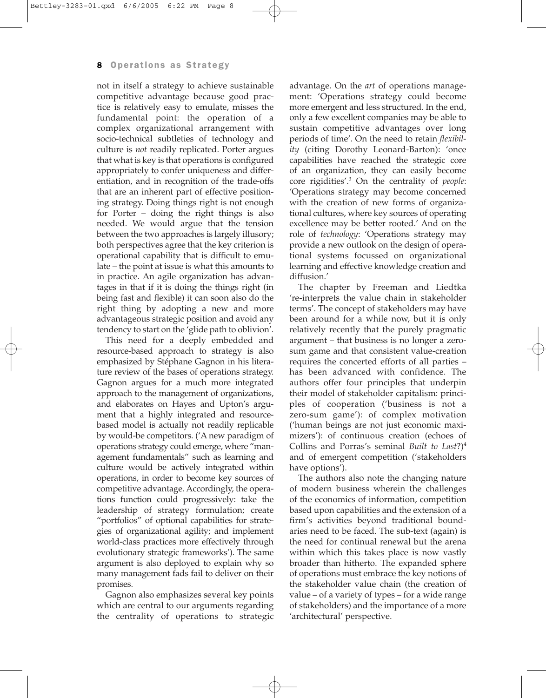#### 8 Operations as Strategy

not in itself a strategy to achieve sustainable competitive advantage because good practice is relatively easy to emulate, misses the fundamental point: the operation of a complex organizational arrangement with socio-technical subtleties of technology and culture is *not* readily replicated. Porter argues that what is key is that operations is configured appropriately to confer uniqueness and differentiation, and in recognition of the trade-offs that are an inherent part of effective positioning strategy. Doing things right is not enough for Porter – doing the right things is also needed. We would argue that the tension between the two approaches is largely illusory; both perspectives agree that the key criterion is operational capability that is difficult to emulate – the point at issue is what this amounts to in practice. An agile organization has advantages in that if it is doing the things right (in being fast and flexible) it can soon also do the right thing by adopting a new and more advantageous strategic position and avoid any tendency to start on the 'glide path to oblivion'.

This need for a deeply embedded and resource-based approach to strategy is also emphasized by Stéphane Gagnon in his literature review of the bases of operations strategy. Gagnon argues for a much more integrated approach to the management of organizations, and elaborates on Hayes and Upton's argument that a highly integrated and resourcebased model is actually not readily replicable by would-be competitors. ('A new paradigm of operations strategy could emerge, where "management fundamentals" such as learning and culture would be actively integrated within operations, in order to become key sources of competitive advantage. Accordingly, the operations function could progressively: take the leadership of strategy formulation; create "portfolios" of optional capabilities for strategies of organizational agility; and implement world-class practices more effectively through evolutionary strategic frameworks'). The same argument is also deployed to explain why so many management fads fail to deliver on their promises.

Gagnon also emphasizes several key points which are central to our arguments regarding the centrality of operations to strategic advantage. On the *art* of operations management: 'Operations strategy could become more emergent and less structured. In the end, only a few excellent companies may be able to sustain competitive advantages over long periods of time'. On the need to retain *flexibility* (citing Dorothy Leonard-Barton): 'once capabilities have reached the strategic core of an organization, they can easily become core rigidities'.3 On the centrality of *people*: 'Operations strategy may become concerned with the creation of new forms of organizational cultures, where key sources of operating excellence may be better rooted.' And on the role of *technology*: 'Operations strategy may provide a new outlook on the design of operational systems focussed on organizational learning and effective knowledge creation and diffusion.'

The chapter by Freeman and Liedtka 're-interprets the value chain in stakeholder terms'. The concept of stakeholders may have been around for a while now, but it is only relatively recently that the purely pragmatic argument – that business is no longer a zerosum game and that consistent value-creation requires the concerted efforts of all parties – has been advanced with confidence. The authors offer four principles that underpin their model of stakeholder capitalism: principles of cooperation ('business is not a zero-sum game'): of complex motivation ('human beings are not just economic maximizers'): of continuous creation (echoes of Collins and Porras's seminal *Built to Last*?)4 and of emergent competition ('stakeholders have options').

The authors also note the changing nature of modern business wherein the challenges of the economics of information, competition based upon capabilities and the extension of a firm's activities beyond traditional boundaries need to be faced. The sub-text (again) is the need for continual renewal but the arena within which this takes place is now vastly broader than hitherto. The expanded sphere of operations must embrace the key notions of the stakeholder value chain (the creation of value – of a variety of types – for a wide range of stakeholders) and the importance of a more 'architectural' perspective.